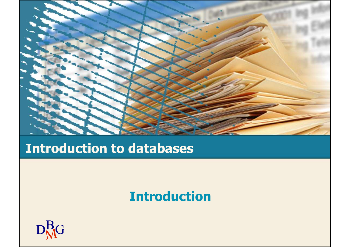

## Introduction to databases

#### Introduction

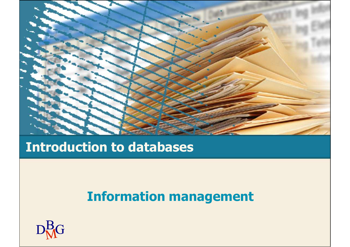

## Introduction to databases

# Information management

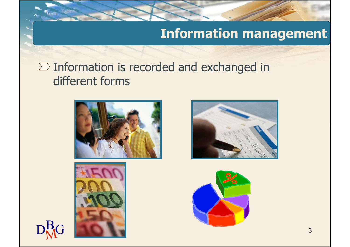## Information management

#### $\Sigma$  Information is recorded and exchanged in different forms







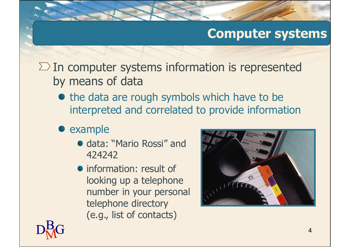## Computer systems

 $\Sigma$  In computer systems information is represented by means of data

- the data are rough symbols which have to be interpreted and correlated to provide information
- example
	- data: "Mario Rossi" and 424242
	- information: result of looking up a telephone number in your personal telephone directory (e.g., list of contacts)



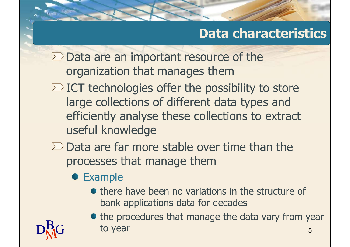# Data characteristics

Data characteristics<br>Data are an important resource of the<br>organization that manages them **Data characteristics**<br>Data are an important resource of the<br>organization that manages them<br>ICT technologies offer the possibility to store

- $\Sigma$  ICT technologies offer the possibility to store large collections of different data types and efficiently analyse these collections to extract useful knowledge Data are an important resource of the<br>organization that manages them<br>ICT technologies offer the possibility to store<br>large collections of different data types and<br>efficiently analyse these collections to extract<br>useful kno Data are an important resource of the<br>
organization that manages them<br>
ICT technologies offer the possibility to store<br>
large collections of different data types and<br>
efficiently analyse these collections to extract<br>
usefu chnologies offer the possibility to store<br>collections of different data types and<br>tly analyse these collections to extract<br>knowledge<br>re far more stable over time than the<br>ses that manage them<br>mple<br>there have been no variat collections of different data types and<br>tly analyse these collections to extract<br>knowledge<br>re far more stable over time than the<br>ses that manage them<br>mple<br>there have been no variations in the structure of<br>bank applications The provided are collections to extract<br>the provided are far more stable over time than the<br>ses that manage them<br>mple<br>there have been no variations in the structure of<br>bank applications data for decades<br>the procedures that
- - **•** Example
		-

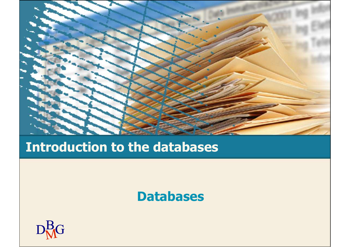

## Introduction to the databases

#### Databases

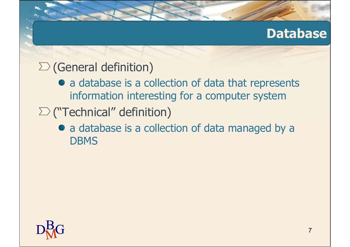## Database

## $\sum$  (General definition)

- a database is a collection of data that represents information interesting for a computer system
- $\sum$  ("Technical" definition)
	- a database is a collection of data managed by a **DBMS**

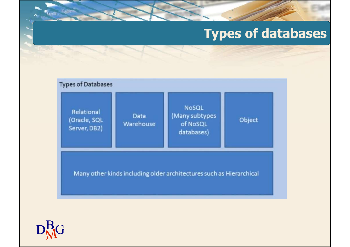## Types of databases



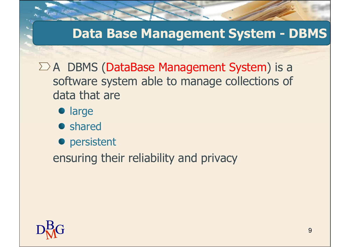# Data Base Management System - DBMS

 $\Sigma$  A DBMS (DataBase Management System) is a software system able to manage collections of data that are

- **•** large
- **•** shared
- **•** persistent

ensuring their reliability and privacy

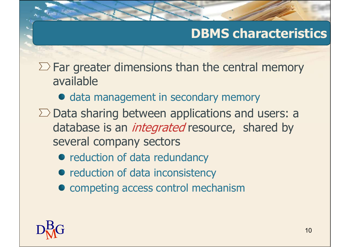# DBMS characteristics

 $\Sigma$  Far greater dimensions than the central memory available

- data management in secondary memory
- $\Sigma$  Data sharing between applications and users: a database is an *integrated* resource, shared by several company sectors
	- reduction of data redundancy
	- reduction of data inconsistency
	- $\bullet$  competing access control mechanism

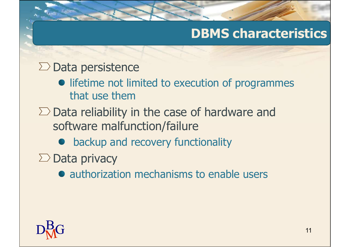## DBMS characteristics

#### $\Sigma$  Data persistence

- **•** lifetime not limited to execution of programmes that use them
- $\Sigma$  Data reliability in the case of hardware and software malfunction/failure
	- backup and recovery functionality
- $\Sigma$  Data privacy
	- authorization mechanisms to enable users

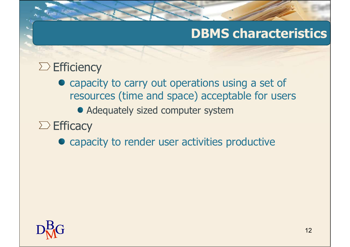## DBMS characteristics

## $\Sigma$  Efficiency

- capacity to carry out operations using a set of resources (time and space) acceptable for users
	- Adequately sized computer system

## $\sum$  Efficacy

• capacity to render user activities productive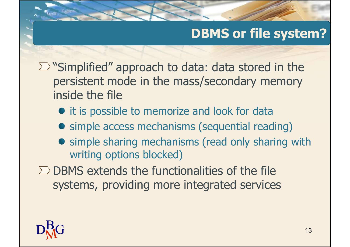# DBMS or file system?

- $\sum$  "Simplified" approach to data: data stored in the persistent mode in the mass/secondary memory inside the file
	- $\bullet$  it is possible to memorize and look for data
	- simple access mechanisms (sequential reading)
	- **•** simple sharing mechanisms (read only sharing with writing options blocked)
- $\Sigma$  DBMS extends the functionalities of the file systems, providing more integrated services

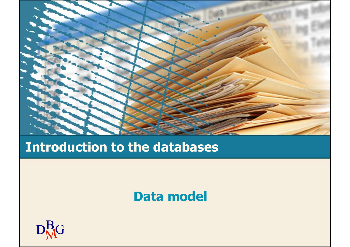

## Introduction to the databases

#### Data model

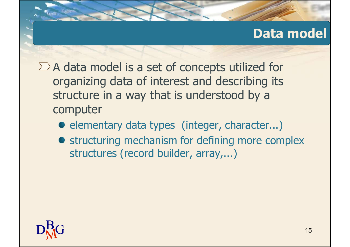## Data model

 $\Sigma$  A data model is a set of concepts utilized for organizing data of interest and describing its structure in a way that is understood by a computer

- **e** elementary data types (integer, character...)
- **•** structuring mechanism for defining more complex structures (record builder, array,...)

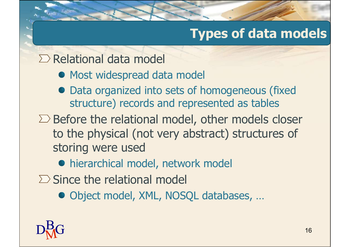# Types of data models

#### $\Sigma$  Relational data model

- $\bullet$  Most widespread data model
- Data organized into sets of homogeneous (fixed structure) records and represented as tables
- $\Sigma$  Before the relational model, other models closer to the physical (not very abstract) structures of storing were used
	- hierarchical model, network model
- $\Sigma$  Since the relational model
	- Object model, XML, NOSQL databases, ...

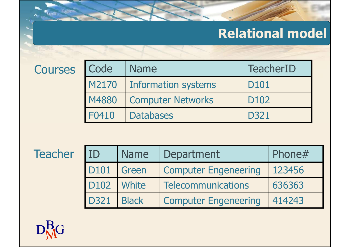# Relational model

|                |                  |                  |                             |                  | <b>Relational model</b> |
|----------------|------------------|------------------|-----------------------------|------------------|-------------------------|
| <b>Courses</b> | Code             | <b>Name</b>      |                             |                  | <b>TeacherID</b>        |
|                | M2170            |                  | <b>Information systems</b>  | D101             |                         |
|                | M4880            |                  | <b>Computer Networks</b>    | D <sub>102</sub> |                         |
|                | F0410            | <b>Databases</b> |                             | <b>D321</b>      |                         |
|                |                  |                  |                             |                  |                         |
| <b>Teacher</b> | ID               | <b>Name</b>      | Department                  |                  | Phone#                  |
|                | D <sub>101</sub> | Green            | <b>Computer Engeneering</b> |                  | 123456                  |
|                | D102             | White            | <b>Telecommunications</b>   |                  | 636363                  |
|                |                  |                  |                             |                  |                         |

| M2170            |              | <b>Information systems</b>  |  | D101             |  |
|------------------|--------------|-----------------------------|--|------------------|--|
| M4880            |              | <b>Computer Networks</b>    |  | D <sub>102</sub> |  |
| F0410            |              | <b>Databases</b>            |  | D321             |  |
|                  |              |                             |  |                  |  |
| ID               | <b>Name</b>  |                             |  |                  |  |
|                  |              | Department                  |  | Phone#           |  |
| D101             | Green        | <b>Computer Engeneering</b> |  | 123456           |  |
| D <sub>102</sub> | <b>White</b> | <b>Telecommunications</b>   |  | 636363           |  |
| <b>D321</b>      | <b>Black</b> | <b>Computer Engeneering</b> |  | 414243           |  |
|                  |              |                             |  |                  |  |

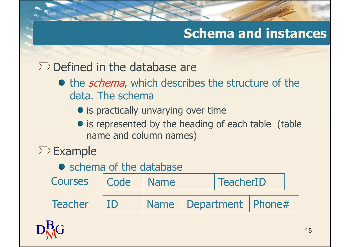# Schema and instances

 $\Sigma$  Defined in the database are

- the *schema*, which describes the structure of the data. The schema
	- is practically unvarying over time
	- is represented by the heading of each table (table name and column names)

## $\Sigma$  Example

|                          | data. The schema                     |             |                   | • the <i>schema</i> , which describes the structure of the |                |  |
|--------------------------|--------------------------------------|-------------|-------------------|------------------------------------------------------------|----------------|--|
|                          | • is practically unvarying over time |             |                   |                                                            |                |  |
|                          | name and column names)               |             |                   | • is represented by the heading of each table (table       |                |  |
| $\angle$ Example         |                                      |             |                   |                                                            |                |  |
| • schema of the database |                                      |             |                   |                                                            |                |  |
| <b>Courses</b>           | Code                                 | <b>Name</b> | <b>TeacherID</b>  |                                                            |                |  |
| <b>Teacher</b>           | ID                                   | <b>Name</b> | <b>Department</b> | Phone#                                                     |                |  |
|                          |                                      |             |                   |                                                            | 1 <sub>Q</sub> |  |

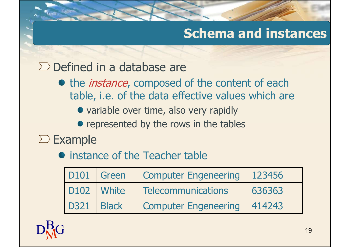# Schema and instances

#### $\Sigma$  Defined in a database are

- the *instance*, composed of the content of each table, i.e. of the data effective values which are
	- variable over time, also very rapidly
	- represented by the rows in the tables

# $\Sigma$  Example

|                  |              | Billieu III d'Udtabase die                                                                                                                                                                        |        |    |
|------------------|--------------|---------------------------------------------------------------------------------------------------------------------------------------------------------------------------------------------------|--------|----|
|                  |              | the <i>instance</i> , composed of the content of each<br>table, i.e. of the data effective values which are<br>• variable over time, also very rapidly<br>• represented by the rows in the tables |        |    |
| cample           |              |                                                                                                                                                                                                   |        |    |
|                  |              | instance of the Teacher table                                                                                                                                                                     |        |    |
| <b>D101</b>      | Green        | <b>Computer Engeneering</b>                                                                                                                                                                       | 123456 |    |
| D <sub>102</sub> | <b>White</b> | <b>Telecommunications</b>                                                                                                                                                                         | 636363 |    |
| <b>D321</b>      | <b>Black</b> | <b>Computer Engeneering</b>                                                                                                                                                                       | 414243 |    |
|                  |              |                                                                                                                                                                                                   |        | 19 |
|                  |              |                                                                                                                                                                                                   |        |    |

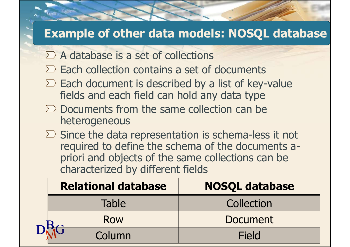#### Example of other data models: NOSQL database

- $\Sigma$  A database is a set of collections
- $\Sigma$  Each collection contains a set of documents
- $\Sigma$  Each document is described by a list of key-value fields and each field can hold any data type
- $\Sigma$  Documents from the same collection can be heterogeneous
- $\sum$  Since the data representation is schema-less it not required to define the schema of the documents apriori and objects of the same collections can be characterized by different fields Each document is described by a list of key-value<br>fields and each field can hold any data type<br>Documents from the same collection can be<br>heterogeneous<br>Since the data representation is schema-less it not<br>required to define

| $\sum$ Documents from the same collection can be<br>heterogeneous<br>$\sum$ Since the data representation is schema-less it not             |  |  |  |  |  |  |  |
|---------------------------------------------------------------------------------------------------------------------------------------------|--|--|--|--|--|--|--|
|                                                                                                                                             |  |  |  |  |  |  |  |
| required to define the schema of the documents a-<br>priori and objects of the same collections can be<br>characterized by different fields |  |  |  |  |  |  |  |
| <b>Relational database</b><br><b>NOSQL database</b>                                                                                         |  |  |  |  |  |  |  |
| <b>Table</b><br>Collection                                                                                                                  |  |  |  |  |  |  |  |
| <b>Document</b><br><b>Row</b>                                                                                                               |  |  |  |  |  |  |  |
| Column<br><b>Field</b>                                                                                                                      |  |  |  |  |  |  |  |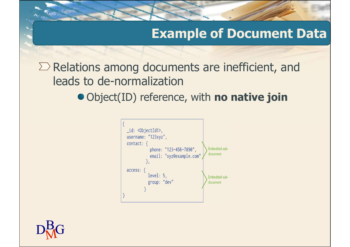## Example of Document Data

 $\Sigma$  Relations among documents are inefficient, and leads to de-normalization

• Object(ID) reference, with no native join



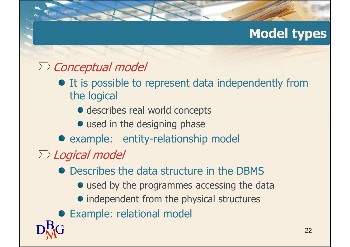# Model types

## $\Sigma$  Conceptual model

- $\bullet$  It is possible to represent data independently from the logical
	- describes real world concepts
	- used in the designing phase
- example: entity-relationship model
- $\Sigma$  Logical model
	- Describes the data structure in the DBMS
		- used by the programmes accessing the data
		- independent from the physical structures
- $D_{\text{M}}^{\text{B}}$ G <sup>22</sup> Example: relational model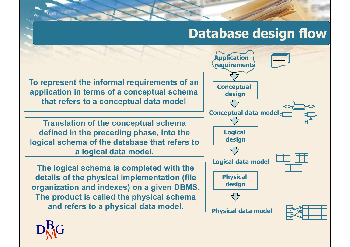# Database design flow

To represent the informal requirements of an application in terms of a conceptual schema that refers to a conceptual data model

Translation of the conceptual schema defined in the preceding phase, into the logical schema of the database that refers to a logical data model.

The logical schema is completed with the details of the physical implementation (file organization and indexes) on a given DBMS. The product is called the physical schema and refers to a physical data model.



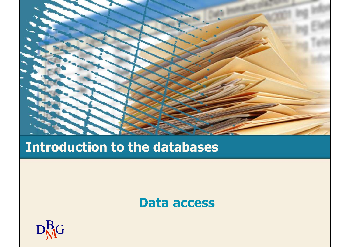

## Introduction to the databases

#### Data access

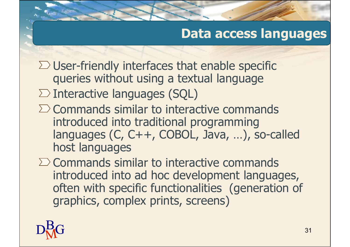## Data access languages

- $\Sigma$  User-friendly interfaces that enable specific queries without using a textual language
- $\Sigma$  Interactive languages (SQL)
- $\Sigma$  Commands similar to interactive commands introduced into traditional programming languages (C, C++, COBOL, Java, …), so-called host languages
- $\Sigma$  Commands similar to interactive commands introduced into ad hoc development languages, often with specific functionalities (generation of graphics, complex prints, screens)

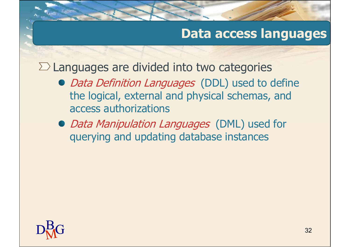## Data access languages

 $\Sigma$  Languages are divided into two categories

- Data Definition Languages (DDL) used to define the logical, external and physical schemas, and access authorizations
- Data Manipulation Languages (DML) used for querying and updating database instances

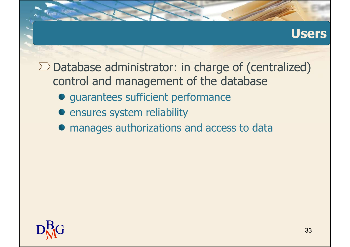#### **Users**

 $\Sigma$  Database administrator: in charge of (centralized) control and management of the database

- $\bullet$  **guarantees sufficient performance**
- **•** ensures system reliability
- manages authorizations and access to data

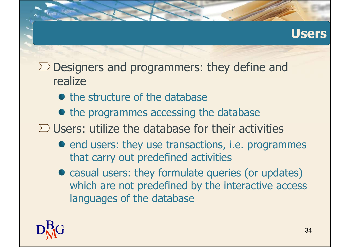#### Users

- $\Sigma$  Designers and programmers: they define and realize
	- the structure of the database
	- $\bullet$  the programmes accessing the database
- $\Sigma$  Users: utilize the database for their activities
	- end users: they use transactions, i.e. programmes that carry out predefined activities
	- casual users: they formulate queries (or updates) which are not predefined by the interactive access languages of the database

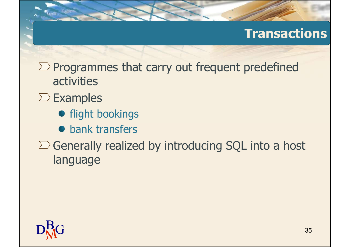## **Transactions**

- $\sum$  Programmes that carry out frequent predefined activities
- $\Sigma$  Examples
	- **•** flight bookings
	- **bank transfers**
- $\sum$  Generally realized by introducing SQL into a host language

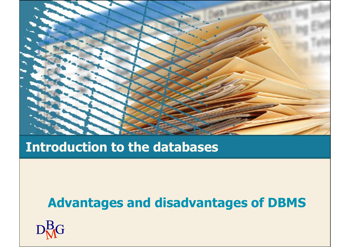

#### Introduction to the databases

## Advantages and disadvantages of DBMS

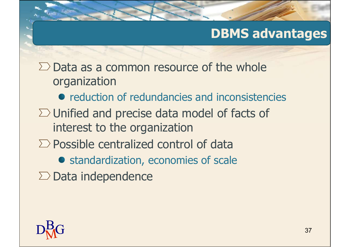## DBMS advantages

 $\Sigma$  Data as a common resource of the whole organization

- **•** reduction of redundancies and inconsistencies
- $\Sigma$  Unified and precise data model of facts of interest to the organization
- $\Sigma$  Possible centralized control of data
	- **•** standardization, economies of scale
- $\Sigma$  Data independence

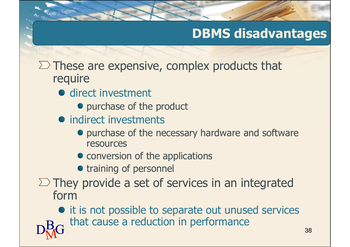# DBMS disadvantages

- $\Sigma$  These are expensive, complex products that require
	- **·** direct investment
		- purchase of the product
	- indirect investments
		- purchase of the necessary hardware and software resources
		- conversion of the applications
		- training of personnel
- $\Sigma$  They provide a set of services in an integrated form

 $D_{\text{M}}^{\text{B}}G$  that cause a reduction in performance  $138$  $\bullet$  it is not possible to separate out unused services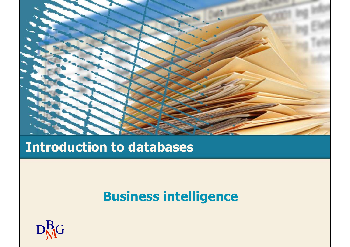

## Introduction to databases

# Business intelligence